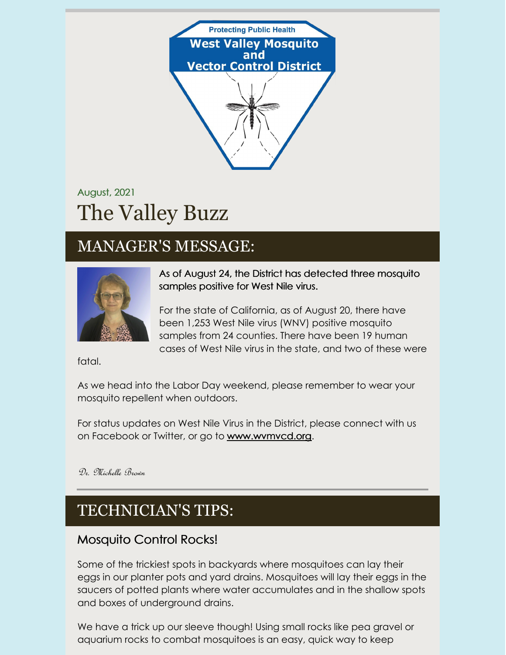

# August, 2021 The Valley Buzz

## MANAGER'S MESSAGE:



As of August 24, the District has detected three mosquito samples positive for West Nile virus.

For the state of California, as of August 20, there have been 1,253 West Nile virus (WNV) positive mosquito samples from 24 counties. There have been 19 human cases of West Nile virus in the state, and two of these were

fatal.

As we head into the Labor Day weekend, please remember to wear your mosquito repellent when outdoors.

For status updates on West Nile Virus in the District, please connect with us on Facebook or Twitter, or go to [www.wvmvcd.org](http://www.wvmvcd.org).

Dr. Michelle Brown

## TECHNICIAN'S TIPS:

### Mosquito Control Rocks!

Some of the trickiest spots in backyards where mosquitoes can lay their eggs in our planter pots and yard drains. Mosquitoes will lay their eggs in the saucers of potted plants where water accumulates and in the shallow spots and boxes of underground drains.

We have a trick up our sleeve though! Using small rocks like pea gravel or aquarium rocks to combat mosquitoes is an easy, quick way to keep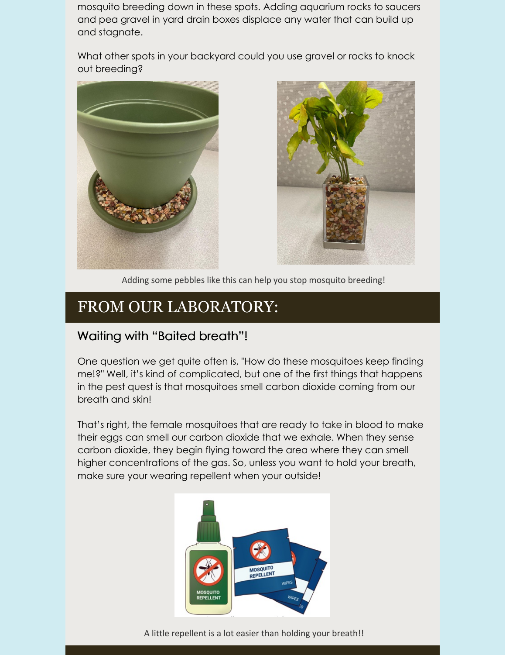mosquito breeding down in these spots. Adding aquarium rocks to saucers and pea gravel in yard drain boxes displace any water that can build up and stagnate.

What other spots in your backyard could you use gravel or rocks to knock out breeding?





Adding some pebbles like this can help you stop mosquito breeding!

## FROM OUR LABORATORY:

#### Waiting with "Baited breath"!

One question we get quite often is, "How do these mosquitoes keep finding me!?" Well, it's kind of complicated, but one of the first things that happens in the pest quest is that mosquitoes smell carbon dioxide coming from our breath and skin!

That's right, the female mosquitoes that are ready to take in blood to make their eggs can smell our carbon dioxide that we exhale. When they sense carbon dioxide, they begin flying toward the area where they can smell higher concentrations of the gas. So, unless you want to hold your breath, make sure your wearing repellent when your outside!



A little repellent is a lot easier than holding your breath!!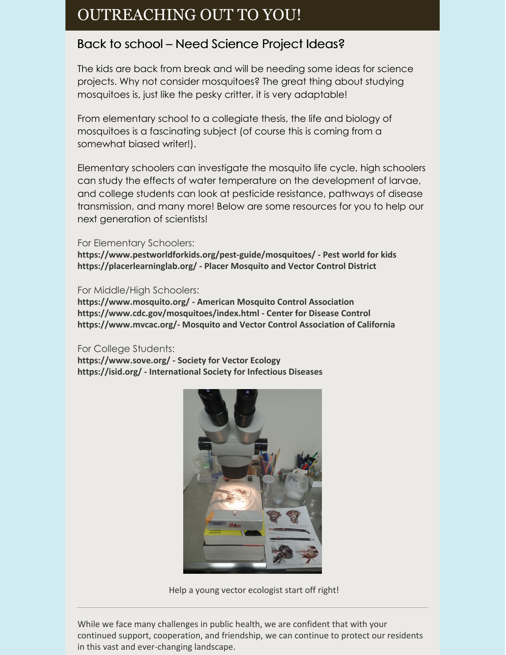### OUTREACHING OUT TO YOU!

### Back to school – Need Science Project Ideas?

The kids are back from break and will be needing some ideas for science projects. Why not consider mosquitoes? The great thing about studying mosquitoes is, just like the pesky critter, it is very adaptable!

From elementary school to a collegiate thesis, the life and biology of mosquitoes is a fascinating subject (of course this is coming from a somewhat biased writer!).

Elementary schoolers can investigate the mosquito life cycle, high schoolers can study the effects of water temperature on the development of larvae, and college students can look at pesticide resistance, pathways of disease transmission, and many more! Below are some resources for you to help our next generation of scientists!

#### For Elementary Schoolers:

**<https://www.pestworldforkids.org/pest-guide/mosquitoes/> - Pest world for kids <https://placerlearninglab.org/> - Placer Mosquito and Vector Control District**

#### For Middle/High Schoolers:

**<https://www.mosquito.org/> - American Mosquito Control Association <https://www.cdc.gov/mosquitoes/index.html> - Center for Disease Control [https://www.mvcac.org/-](https://www.mvcac.org/) Mosquito and Vector Control Association of California**

#### For College Students:

**<https://www.sove.org/> - Society for Vector Ecology <https://isid.org/> - International Society for Infectious Diseases**



Help a young vector ecologist start off right!

While we face many challenges in public health, we are confident that with your continued support, cooperation, and friendship, we can continue to protect our residents in this vast and ever-changing landscape.